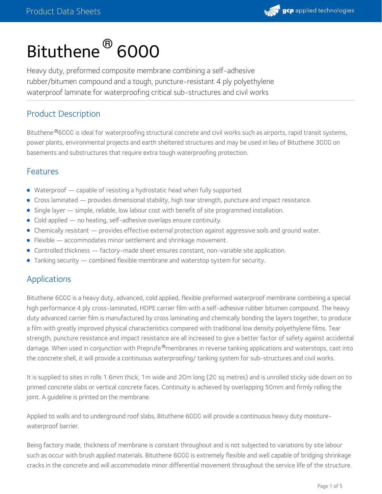

# Bituthene ® 6000

Heavy duty, preformed composite membrane combining a self-adhesive rubber/bitumen compound and a tough, puncture-resistant 4 ply polyethylene waterproof laminate for waterproofing critical sub-structures and civil works

# Product Description

Bituthene ®6000 is ideal for waterproofing structural concrete and civil works such as airports, rapid transit systems, power plants, environmental projects and earth sheltered structures and may be used in lieu of Bituthene 3000 on basements and substructures that require extra tough waterproofing protection.

## Features

- Waterproof capable of resisting a hydrostatic head when fully supported.
- Cross laminated provides dimensional stability, high tear strength, puncture and impact resistance.
- Single layer simple, reliable, low labour cost with benefit of site programmed installation.
- Cold applied no heating, self-adhesive overlaps ensure continuity.
- Chemically resistant provides effective external protection against aggressive soils and ground water.
- Flexible accommodates minor settlement and shrinkage movement.
- Controlled thickness factory-made sheet ensures constant, non-variable site application.
- Tanking security combined flexible membrane and waterstop system for security.

## **Applications**

Bituthene 6000 is a heavy duty, advanced, cold applied, flexible preformed waterproof membrane combining a special high performance 4 ply cross-laminated, HDPE carrier film with a self-adhesive rubber bitumen compound. The heavy duty advanced carrier film is manufactured by cross laminating and chemically bonding the layers together, to produce a film with greatly improved physical characteristics compared with traditional low density polyethylene films. Tear strength, puncture resistance and impact resistance are all increased to give a better factor of safety against accidental damage. When used in conjunction with Preprufe®membranes in reverse tanking applications and waterstops, cast into the concrete shell, it will provide a continuous waterproofing/ tanking system for sub-structures and civil works.

It is supplied to sites in rolls 1.6mm thick, 1m wide and 20m long (20 sq metres) and is unrolled sticky side down on to primed concrete slabs or vertical concrete faces. Continuity is achieved by overlapping 50mm and firmly rolling the joint. A guideline is printed on the membrane.

Applied to walls and to underground roof slabs, Bituthene 6000 will provide a continuous heavy duty moisturewaterproof barrier.

Being factory made, thickness of membrane is constant throughout and is not subjected to variations by site labour such as occur with brush applied materials. Bituthene 6000 is extremely flexible and well capable of bridging shrinkage cracks in the concrete and will accommodate minor differential movement throughout the service life of the structure.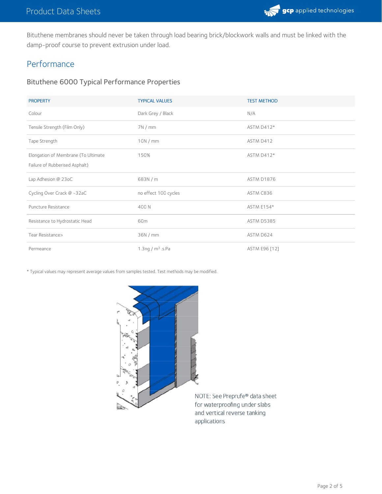Bituthene membranes should never be taken through load bearing brick/blockwork walls and must be linked with the damp-proof course to prevent extrusion under load.

# Performance

## Bituthene 6000 Typical Performance Properties

| <b>PROPERTY</b>                     | <b>TYPICAL VALUES</b> | <b>TEST METHOD</b> |
|-------------------------------------|-----------------------|--------------------|
| Colour                              | Dark Grey / Black     | N/A                |
| Tensile Strength (Film Only)        | 7N/mm                 | ASTM D412*         |
| Tape Strength                       | 10N/mm                | ASTM D412          |
| Elongation of Membrane (To Ultimate | 150%                  | ASTM D412*         |
| Failure of Rubberised Asphalt)      |                       |                    |
| Lap Adhesion @ 23oC                 | 683N/m                | ASTM D1876         |
| Cycling Over Crack @ -32aC          | no effect 100 cycles  | ASTM C836          |
| Puncture Resistance                 | 400 N                 | ASTM E154*         |
| Resistance to Hydrostatic Head      | 60m                   | <b>ASTM D5385</b>  |
| Tear Resistance>                    | 36N / mm              | ASTM D624          |
| Permeance                           | 1.3ng / $m^3$ .s.Pa   | ASTM E96 [12]      |

\* Typical values may represent average values from samples tested. Test methods may be modified.



NOTE: See Preprufe® data sheet for waterproofing under slabs and vertical reverse tanking applications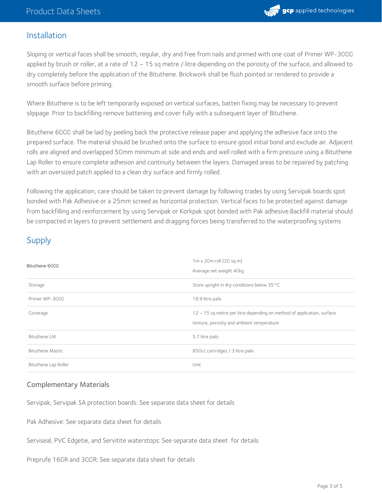

## Installation

Sloping or vertical faces shall be smooth, regular, dry and free from nails and primed with one coat of Primer WP-3000 applied by brush or roller, at a rate of  $12 \sim 15$  sq metre / litre depending on the porosity of the surface, and allowed to dry completely before the application of the Bituthene. Brickwork shall be flush pointed or rendered to provide a smooth surface before priming.

Where Bituthene is to be left temporarily exposed on vertical surfaces, batten fixing may be necessary to prevent slippage. Prior to backfilling remove battening and cover fully with a subsequent layer of Bituthene.

Bituthene 6000 shall be laid by peeling back the protective release paper and applying the adhesive face onto the prepared surface. The material should be brushed onto the surface to ensure good initial bond and exclude air. Adjacent rolls are aligned and overlapped 50mm minimum at side and ends and well rolled with a firm pressure using a Bituthene Lap Roller to ensure complete adhesion and continuity between the layers. Damaged areas to be repaired by patching with an oversized patch applied to a clean dry surface and firmly rolled.

Following the application, care should be taken to prevent damage by following trades by using Servipak boards spot bonded with Pak Adhesive or a 25mm screed as horizontal protection. Vertical faces to be protected against damage from backfilling and reinforcement by using Servipak or Korkpak spot bonded with Pak adhesive.Backfill material should be compacted in layers to prevent settlement and dragging forces being transferred to the waterproofing systems

# Supply

| Bituthene 6000          | $1m \times 20m$ roll (20 sq m)<br>Average net weight 40kg                                                                |  |
|-------------------------|--------------------------------------------------------------------------------------------------------------------------|--|
| Storage                 | Store upright in dry conditions below 35°C                                                                               |  |
| Primer WP-3000          | 18.9 litre pails                                                                                                         |  |
| Coverage                | $12 \sim 15$ sq metre per litre depending on method of application, surface<br>texture, porosity and ambient temperature |  |
| <b>Bituthene LM</b>     | 5.7 litre pails                                                                                                          |  |
| <b>Bituthene Mastic</b> | 850cc cartridges / 3 litre pails                                                                                         |  |
| Bituthene Lap Roller    | Unit                                                                                                                     |  |

#### Complementary Materials

Servipak, Servipak SA protection boards: See separate data sheet for details

Pak Adhesive: See separate data sheet for details

Serviseal, PVC Edgetie, and Servitite waterstops: See separate data sheet for details

Preprufe 160R and 300R: See separate data sheet for details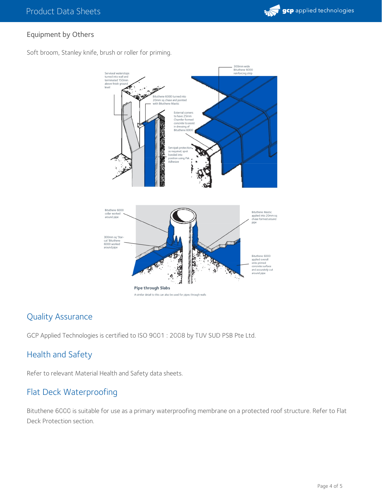

## Equipment by Others

Soft broom, Stanley knife, brush or roller for priming.



# Quality Assurance

GCP Applied Technologies is certified to ISO 9001 : 2008 by TUV SUD PSB Pte Ltd.

# Health and Safety

Refer to relevant Material Health and Safety data sheets.

# Flat Deck Waterproofing

Bituthene 6000 is suitable for use as a primary waterproofing membrane on a protected roof structure. Refer to Flat Deck Protection section.